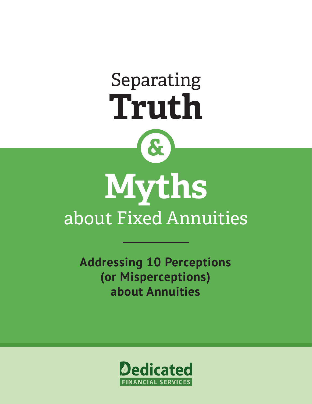# **&** Separating **Truth**

# **Myths** about Fixed Annuities

**Addressing 10 Perceptions (or Misperceptions) about Annuities**

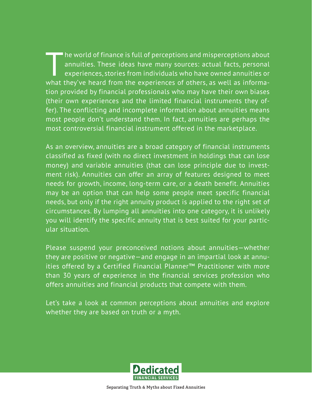Ine world of finance is full of perceptions and misperceptions about annuities. These ideas have many sources: actual facts, personal experiences, stories from individuals who have owned annuities or what they've heard from the experiences of others, as well as information provided by financial professionals who may have their own biases (their own experiences and the limited financial instruments they offer). The conflicting and incomplete information about annuities means most people don't understand them. In fact, annuities are perhaps the most controversial financial instrument offered in the marketplace.

As an overview, annuities are a broad category of financial instruments classified as fixed (with no direct investment in holdings that can lose money) and variable annuities (that can lose principle due to investment risk). Annuities can offer an array of features designed to meet needs for growth, income, long-term care, or a death benefit. Annuities may be an option that can help some people meet specific financial needs, but only if the right annuity product is applied to the right set of circumstances. By lumping all annuities into one category, it is unlikely you will identify the specific annuity that is best suited for your particular situation.

Please suspend your preconceived notions about annuities—whether they are positive or negative—and engage in an impartial look at annuities offered by a Certified Financial Planner™ Practitioner with more than 30 years of experience in the financial services profession who offers annuities and financial products that compete with them.

Let's take a look at common perceptions about annuities and explore whether they are based on truth or a myth.

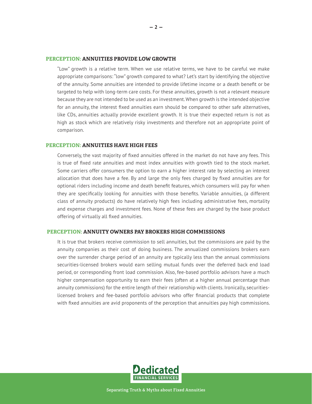#### **PERCEPTION: ANNUITIES PROVIDE LOW GROWTH**

"Low" growth is a relative term. When we use relative terms, we have to be careful we make appropriate comparisons: "low" growth compared to what? Let's start by identifying the objective of the annuity. Some annuities are intended to provide lifetime income or a death benefit or be targeted to help with long-term care costs. For these annuities, growth is not a relevant measure because they are not intended to be used as an investment. When growth is the intended objective for an annuity, the interest fixed annuities earn should be compared to other safe alternatives, like CDs, annuities actually provide excellent growth. It is true their expected return is not as high as stock which are relatively risky investments and therefore not an appropriate point of comparison.

#### **PERCEPTION: ANNUITIES HAVE HIGH FEES**

Conversely, the vast majority of fixed annuities offered in the market do not have any fees. This is true of fixed rate annuities and most index annuities with growth tied to the stock market. Some carriers offer consumers the option to earn a higher interest rate by selecting an interest allocation that does have a fee. By and large the only fees charged by fixed annuities are for optional riders including income and death benefit features, which consumers will pay for when they are specifically looking for annuities with those benefits. Variable annuities, (a different class of annuity products) do have relatively high fees including administrative fees, mortality and expense charges and investment fees. None of these fees are charged by the base product offering of virtually all fixed annuities.

#### **PERCEPTION: ANNUITY OWNERS PAY BROKERS HIGH COMMISSIONS**

It is true that brokers receive commission to sell annuities, but the commissions are paid by the annuity companies as their cost of doing business. The annualized commissions brokers earn over the surrender charge period of an annuity are typically less than the annual commissions securities-licensed brokers would earn selling mutual funds over the deferred back end load period, or corresponding front load commission. Also, fee-based portfolio advisors have a much higher compensation opportunity to earn their fees (often at a higher annual percentage than annuity commissions) for the entire length of their relationship with clients. Ironically, securitieslicensed brokers and fee-based portfolio advisors who offer financial products that complete with fixed annuities are avid proponents of the perception that annuities pay high commissions.

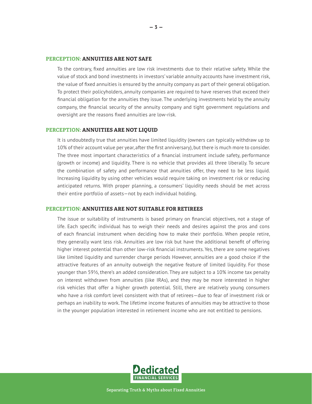### **PERCEPTION: ANNUITIES ARE NOT SAFE**

To the contrary, fixed annuities are low risk investments due to their relative safety. While the value of stock and bond investments in investors' variable annuity accounts have investment risk, the value of fixed annuities is ensured by the annuity company as part of their general obligation. To protect their policyholders, annuity companies are required to have reserves that exceed their financial obligation for the annuities they issue. The underlying investments held by the annuity company, the financial security of the annuity company and tight government regulations and oversight are the reasons fixed annuities are low-risk.

#### **PERCEPTION: ANNUITIES ARE NOT LIQUID**

It is undoubtedly true that annuities have limited liquidity (owners can typically withdraw up to 10% of their account value per year, after the first anniversary), but there is much more to consider. The three most important characteristics of a financial instrument include safety, performance (growth or income) and liquidity. There is no vehicle that provides all three liberally. To secure the combination of safety and performance that annuities offer, they need to be less liquid. Increasing liquidity by using other vehicles would require taking on investment risk or reducing anticipated returns. With proper planning, a consumers' liquidity needs should be met across their entire portfolio of assets—not by each individual holding.

#### **PERCEPTION: ANNUITIES ARE NOT SUITABLE FOR RETIREES**

The issue or suitability of instruments is based primary on financial objectives, not a stage of life. Each specific individual has to weigh their needs and desires against the pros and cons of each financial instrument when deciding how to make their portfolio. When people retire, they generally want less risk. Annuities are low risk but have the additional benefit of offering higher interest potential than other low-risk financial instruments. Yes, there are some negatives like limited liquidity and surrender charge periods However, annuities are a good choice if the attractive features of an annuity outweigh the negative feature of limited liquidity. For those younger than 59½, there's an added consideration. They are subject to a 10% income tax penalty on interest withdrawn from annuities (like IRAs), and they may be more interested in higher risk vehicles that offer a higher growth potential. Still, there are relatively young consumers who have a risk comfort level consistent with that of retirees—due to fear of investment risk or perhaps an inability to work. The lifetime income features of annuities may be attractive to those in the younger population interested in retirement income who are not entitled to pensions.

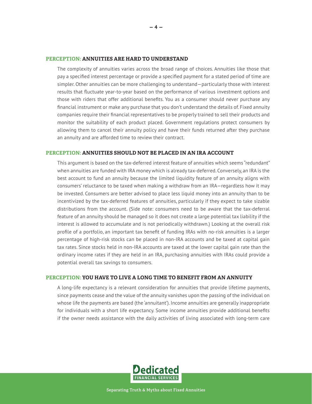#### **PERCEPTION: ANNUITIES ARE HARD TO UNDERSTAND**

The complexity of annuities varies across the broad range of choices. Annuities like those that pay a specified interest percentage or provide a specified payment for a stated period of time are simpler. Other annuities can be more challenging to understand—particularly those with interest results that fluctuate year-to-year based on the performance of various investment options and those with riders that offer additional benefits. You as a consumer should never purchase any financial instrument or make any purchase that you don't understand the details of. Fixed annuity companies require their financial representatives to be properly trained to sell their products and monitor the suitability of each product placed. Government regulations protect consumers by allowing them to cancel their annuity policy and have their funds returned after they purchase an annuity and are afforded time to review their contract.

## **PERCEPTION: ANNUITIES SHOULD NOT BE PLACED IN AN IRA ACCOUNT**

This argument is based on the tax-deferred interest feature of annuities which seems "redundant" when annuities are funded with IRA money which is already tax-deferred. Conversely, an IRA is the best account to fund an annuity because the limited liquidity feature of an annuity aligns with consumers' reluctance to be taxed when making a withdraw from an IRA—regardless how it may be invested. Consumers are better advised to place less liquid money into an annuity than to be incentivized by the tax-deferred features of annuities, particularly if they expect to take sizable distributions from the account. (Side note: consumers need to be aware that the tax-deferral feature of an annuity should be managed so it does not create a large potential tax liability if the interest is allowed to accumulate and is not periodically withdrawn.) Looking at the overall risk profile of a portfolio, an important tax benefit of funding IRAs with no-risk annuities is a larger percentage of high-risk stocks can be placed in non-IRA accounts and be taxed at capital gain tax rates. Since stocks held in non-IRA accounts are taxed at the lower capital gain rate than the ordinary income rates if they are held in an IRA, purchasing annuities with IRAs could provide a potential overall tax savings to consumers.

## **PERCEPTION: YOU HAVE TO LIVE A LONG TIME TO BENEFIT FROM AN ANNUITY**

A long-life expectancy is a relevant consideration for annuities that provide lifetime payments, since payments cease and the value of the annuity vanishes upon the passing of the individual on whose life the payments are based (the 'annuitant'). Income annuities are generally inappropriate for individuals with a short life expectancy. Some income annuities provide additional benefits if the owner needs assistance with the daily activities of living associated with long-term care

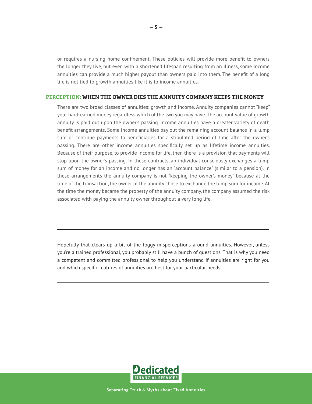or requires a nursing home confinement. These policies will provide more benefit to owners the longer they live, but even with a shortened lifespan resulting from an illness, some income annuities can provide a much higher payout than owners paid into them. The benefit of a long life is not tied to growth annuities like it is to income annuities.

#### **PERCEPTION: WHEN THE OWNER DIES THE ANNUITY COMPANY KEEPS THE MONEY**

There are two broad classes of annuities: growth and income. Annuity companies cannot "keep" your hard-earned money regardless which of the two you may have. The account value of growth annuity is paid out upon the owner's passing. Income annuities have a greater variety of death benefit arrangements. Some income annuities pay out the remaining account balance in a lump sum or continue payments to beneficiaries for a stipulated period of time after the owner's passing. There are other income annuities specifically set up as lifetime income annuities. Because of their purpose, to provide income for life, then there is a provision that payments will stop upon the owner's passing. In these contracts, an individual consciously exchanges a lump sum of money for an income and no longer has an "account balance" (similar to a pension). In these arrangements the annuity company is not "keeping the owner's money" because at the time of the transaction, the owner of the annuity chose to exchange the lump sum for income. At the time the money became the property of the annuity company, the company assumed the risk associated with paying the annuity owner throughout a very long life.

Hopefully that clears up a bit of the foggy misperceptions around annuities. However, unless you're a trained professional, you probably still have a bunch of questions. That is why you need a competent and committed professional to help you understand if annuities are right for you and which specific features of annuities are best for your particular needs.